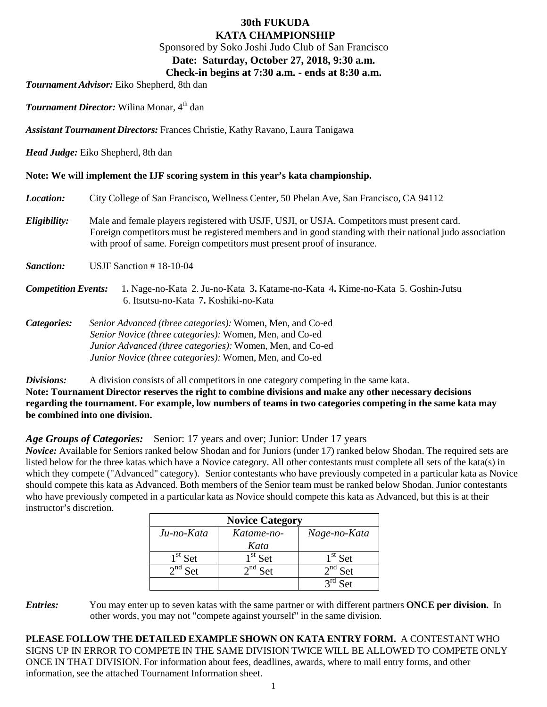## **30th FUKUDA KATA CHAMPIONSHIP**

Sponsored by Soko Joshi Judo Club of San Francisco

## **Date: Saturday, October 27, 2018, 9:30 a.m.**

## **Check-in begins at 7:30 a.m. - ends at 8:30 a.m.**

*Tournament Advisor:* Eiko Shepherd, 8th dan

*Tournament Director:* Wilina Monar, 4<sup>th</sup> dan

*Assistant Tournament Directors:* Frances Christie, Kathy Ravano, Laura Tanigawa

*Head Judge:* Eiko Shepherd, 8th dan

### **Note: We will implement the IJF scoring system in this year's kata championship.**

*Location:* City College of San Francisco, Wellness Center, 50 Phelan Ave, San Francisco, CA 94112 *Eligibility:* Male and female players registered with USJF, USJI, or USJA. Competitors must present card. Foreign competitors must be registered members and in good standing with their national judo association

with proof of same. Foreign competitors must present proof of insurance.

- *Sanction:* USJF Sanction # 18-10-04
- *Competition Events:* 1**.** Nage-no-Kata 2. Ju-no-Kata 3**.** Katame-no-Kata 4**.** Kime-no-Kata 5. Goshin-Jutsu 6. Itsutsu-no-Kata 7**.** Koshiki-no-Kata
- *Categories: Senior Advanced (three categories):* Women, Men, and Co-ed *Senior Novice (three categories):* Women, Men, and Co-ed *Junior Advanced (three categories):* Women, Men, and Co-ed *Junior Novice (three categories):* Women, Men, and Co-ed

**Divisions:** A division consists of all competitors in one category competing in the same kata. **Note: Tournament Director reserves the right to combine divisions and make any other necessary decisions regarding the tournament. For example, low numbers of teams in two categories competing in the same kata may be combined into one division.**

*Age Groups of Categories:* Senior: 17 years and over; Junior: Under 17 years

*Novice:* Available for Seniors ranked below Shodan and for Juniors (under 17) ranked below Shodan. The required sets are listed below for the three katas which have a Novice category. All other contestants must complete all sets of the kata(s) in which they compete ("Advanced" category). Senior contestants who have previously competed in a particular kata as Novice should compete this kata as Advanced. Both members of the Senior team must be ranked below Shodan. Junior contestants who have previously competed in a particular kata as Novice should compete this kata as Advanced, but this is at their instructor's discretion.

| <b>Novice Category</b> |                         |              |  |  |  |  |
|------------------------|-------------------------|--------------|--|--|--|--|
| Ju-no-Kata             | Katame-no-              | Nage-no-Kata |  |  |  |  |
|                        | Kata                    |              |  |  |  |  |
| $1st$ Set              | $1st$ Set               | $1st$ Set    |  |  |  |  |
| $2^{nd}$ Set           | $\overline{2^{nd}}$ Set | $2^{nd}$ Set |  |  |  |  |
|                        |                         | Ref          |  |  |  |  |

*Entries:* You may enter up to seven katas with the same partner or with different partners **ONCE per division.** In other words, you may not "compete against yourself" in the same division.

**PLEASE FOLLOW THE DETAILED EXAMPLE SHOWN ON KATA ENTRY FORM.** A CONTESTANT WHO SIGNS UP IN ERROR TO COMPETE IN THE SAME DIVISION TWICE WILL BE ALLOWED TO COMPETE ONLY ONCE IN THAT DIVISION. For information about fees, deadlines, awards, where to mail entry forms, and other information, see the attached Tournament Information sheet.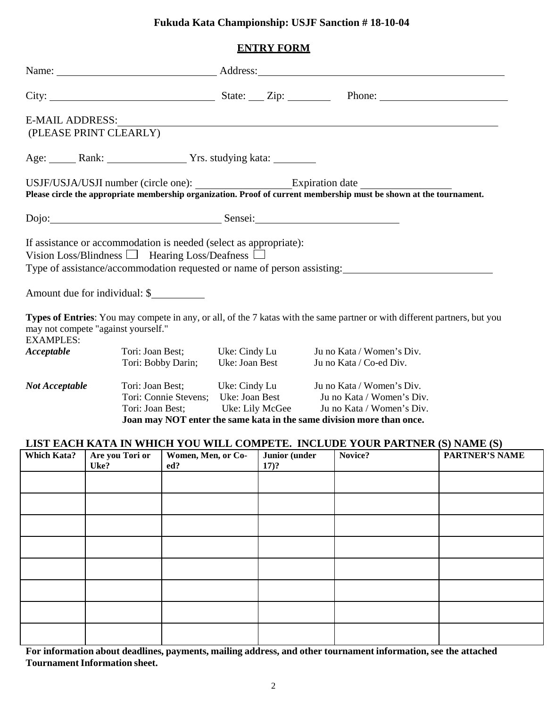# **Fukuda Kata Championship: USJF Sanction # 18-10-04**

## **ENTRY FORM**

|                                                                                                                                                                                                                                                                                                     |                                   |  |  | Name: Address:                                                                                                                                                                                                                                                  |  |  |  |
|-----------------------------------------------------------------------------------------------------------------------------------------------------------------------------------------------------------------------------------------------------------------------------------------------------|-----------------------------------|--|--|-----------------------------------------------------------------------------------------------------------------------------------------------------------------------------------------------------------------------------------------------------------------|--|--|--|
|                                                                                                                                                                                                                                                                                                     |                                   |  |  |                                                                                                                                                                                                                                                                 |  |  |  |
| E-MAIL ADDRESS:<br>(PLEASE PRINT CLEARLY)                                                                                                                                                                                                                                                           |                                   |  |  |                                                                                                                                                                                                                                                                 |  |  |  |
|                                                                                                                                                                                                                                                                                                     |                                   |  |  |                                                                                                                                                                                                                                                                 |  |  |  |
| Please circle the appropriate membership organization. Proof of current membership must be shown at the tournament.                                                                                                                                                                                 |                                   |  |  |                                                                                                                                                                                                                                                                 |  |  |  |
| Dojo: Sensei: Sensei: Sensei: Sensei: Sensei: Sensei: Sensei: Sensei: Sensei: Sensei: Sensei: Sensei: Sensei: Sensei: Sensei: Sensei: Sensei: Sensei: Sensei: Sensei: Sensei: Sensei: Sensei: Sensei: Sensei: Sensei: Sensei:                                                                       |                                   |  |  |                                                                                                                                                                                                                                                                 |  |  |  |
| If assistance or accommodation is needed (select as appropriate):<br>Vision Loss/Blindness $\Box$ Hearing Loss/Deafness $\Box$<br>Type of assistance/accommodation requested or name of person assisting:                                                                                           |                                   |  |  |                                                                                                                                                                                                                                                                 |  |  |  |
| Amount due for individual: \$<br>Types of Entries: You may compete in any, or all, of the 7 katas with the same partner or with different partners, but you<br>may not compete "against yourself."<br><b>EXAMPLES:</b><br>Tori: Joan Best; Uke: Cindy Lu<br>Acceptable<br>Ju no Kata / Women's Div. |                                   |  |  |                                                                                                                                                                                                                                                                 |  |  |  |
|                                                                                                                                                                                                                                                                                                     | Tori: Bobby Darin; Uke: Joan Best |  |  | Ju no Kata / Co-ed Div.                                                                                                                                                                                                                                         |  |  |  |
| Not Acceptable                                                                                                                                                                                                                                                                                      |                                   |  |  | Tori: Joan Best; Uke: Cindy Lu Juno Kata / Women's Div.<br>Tori: Connie Stevens; Uke: Joan Best Juno Kata / Women's Div.<br>Tori: Joan Best; Uke: Lily McGee Ju no Kata / Women's Div.<br>Joan may NOT enter the same kata in the same division more than once. |  |  |  |
| LIST EACH KATA IN WHICH YOU WILL COMPETE. INCLUDE YOUR PARTNER (S) NAME (S)                                                                                                                                                                                                                         |                                   |  |  |                                                                                                                                                                                                                                                                 |  |  |  |

| Which Kata? | Are you Tori or<br>Uke? | Women, Men, or Co-<br>ed? | Junior (under<br>$17)$ ? | Novice? | <b>PARTNER'S NAME</b> |
|-------------|-------------------------|---------------------------|--------------------------|---------|-----------------------|
|             |                         |                           |                          |         |                       |
|             |                         |                           |                          |         |                       |
|             |                         |                           |                          |         |                       |
|             |                         |                           |                          |         |                       |
|             |                         |                           |                          |         |                       |
|             |                         |                           |                          |         |                       |
|             |                         |                           |                          |         |                       |
|             |                         |                           |                          |         |                       |

**For information about deadlines, payments, mailing address, and other tournament information, see the attached Tournament Information sheet.**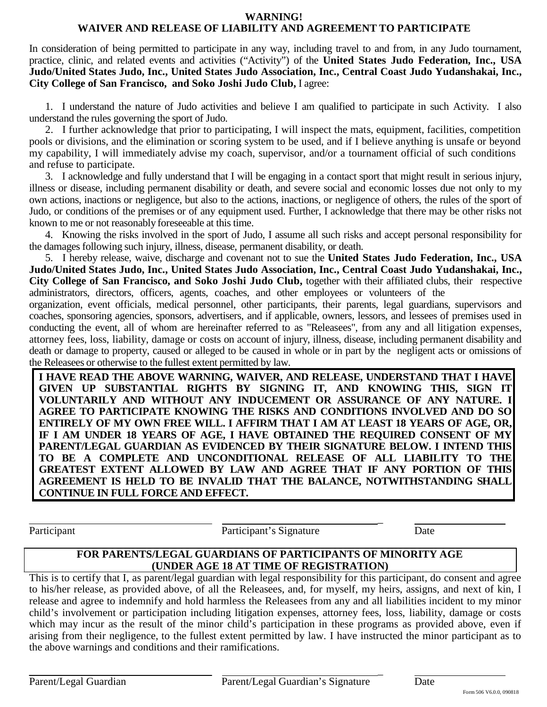#### **WARNING!**

## **WAIVER AND RELEASE OF LIABILITY AND AGREEMENT TO PARTICIPATE**

In consideration of being permitted to participate in any way, including travel to and from, in any Judo tournament, practice, clinic, and related events and activities ("Activity") of the **United States Judo Federation, Inc., USA Judo/United States Judo, Inc., United States Judo Association, Inc., Central Coast Judo Yudanshakai, Inc., City College of San Francisco, and Soko Joshi Judo Club,** I agree:

1. I understand the nature of Judo activities and believe I am qualified to participate in such Activity. I also understand the rules governing the sport of Judo.

2. I further acknowledge that prior to participating, I will inspect the mats, equipment, facilities, competition pools or divisions, and the elimination or scoring system to be used, and if I believe anything is unsafe or beyond my capability, I will immediately advise my coach, supervisor, and/or a tournament official of such conditions and refuse to participate.

3. I acknowledge and fully understand that I will be engaging in a contact sport that might result in serious injury, illness or disease, including permanent disability or death, and severe social and economic losses due not only to my own actions, inactions or negligence, but also to the actions, inactions, or negligence of others, the rules of the sport of Judo, or conditions of the premises or of any equipment used. Further, I acknowledge that there may be other risks not known to me or not reasonably foreseeable at this time.

4. Knowing the risks involved in the sport of Judo, I assume all such risks and accept personal responsibility for the damages following such injury, illness, disease, permanent disability, or death.

5. I hereby release, waive, discharge and covenant not to sue the **United States Judo Federation, Inc., USA Judo/United States Judo, Inc., United States Judo Association, Inc., Central Coast Judo Yudanshakai, Inc., City College of San Francisco, and Soko Joshi Judo Club,** together with their affiliated clubs, their respective administrators, directors, officers, agents, coaches, and other employees or volunteers of the

organization, event officials, medical personnel, other participants, their parents, legal guardians, supervisors and coaches, sponsoring agencies, sponsors, advertisers, and if applicable, owners, lessors, and lessees of premises used in conducting the event, all of whom are hereinafter referred to as "Releasees", from any and all litigation expenses, attorney fees, loss, liability, damage or costs on account of injury, illness, disease, including permanent disability and death or damage to property, caused or alleged to be caused in whole or in part by the negligent acts or omissions of the Releasees or otherwise to the fullest extent permitted by law.

**I HAVE READ THE ABOVE WARNING, WAIVER, AND RELEASE, UNDERSTAND THAT I HAVE GIVEN UP SUBSTANTIAL RIGHTS BY SIGNING IT, AND KNOWING THIS, SIGN IT VOLUNTARILY AND WITHOUT ANY INDUCEMENT OR ASSURANCE OF ANY NATURE. I AGREE TO PARTICIPATE KNOWING THE RISKS AND CONDITIONS INVOLVED AND DO SO ENTIRELY OF MY OWN FREE WILL. I AFFIRM THAT I AM AT LEAST 18 YEARS OF AGE, OR, IF I AM UNDER 18 YEARS OF AGE, I HAVE OBTAINED THE REQUIRED CONSENT OF MY PARENT/LEGAL GUARDIAN AS EVIDENCED BY THEIR SIGNATURE BELOW. I INTEND THIS TO BE A COMPLETE AND UNCONDITIONAL RELEASE OF ALL LIABILITY TO THE GREATEST EXTENT ALLOWED BY LAW AND AGREE THAT IF ANY PORTION OF THIS AGREEMENT IS HELD TO BE INVALID THAT THE BALANCE, NOTWITHSTANDING SHALL CONTINUE IN FULL FORCE AND EFFECT.**

Participant Participant Participant Participant Participant Participant Participant Participant Participant Participant Participant Participant Participant Participant Participant Participant Participant Participant Partic

 $\overline{a}$ 

 $\overline{a}$ 

## **FOR PARENTS/LEGAL GUARDIANS OF PARTICIPANTS OF MINORITY AGE (UNDER AGE 18 AT TIME OF REGISTRATION)**

This is to certify that I, as parent/legal guardian with legal responsibility for this participant, do consent and agree to his/her release, as provided above, of all the Releasees, and, for myself, my heirs, assigns, and next of kin, I release and agree to indemnify and hold harmless the Releasees from any and all liabilities incident to my minor child's involvement or participation including litigation expenses, attorney fees, loss, liability, damage or costs which may incur as the result of the minor child's participation in these programs as provided above, even if arising from their negligence, to the fullest extent permitted by law. I have instructed the minor participant as to the above warnings and conditions and their ramifications.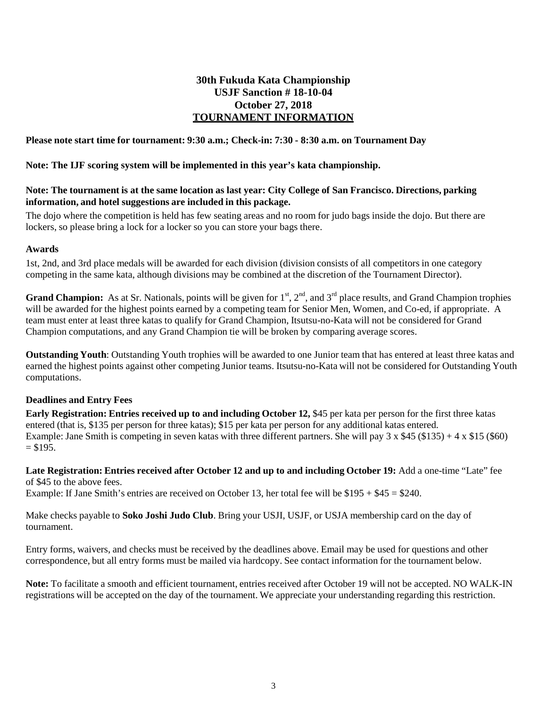## **30th Fukuda Kata Championship USJF Sanction # 18-10-04 October 27, 2018 TOURNAMENT INFORMATION**

#### **Please note start time for tournament: 9:30 a.m.; Check-in: 7:30 - 8:30 a.m. on Tournament Day**

#### **Note: The IJF scoring system will be implemented in this year's kata championship.**

#### **Note: The tournament is at the same location as last year: City College of San Francisco. Directions, parking information, and hotel suggestions are included in this package.**

The dojo where the competition is held has few seating areas and no room for judo bags inside the dojo. But there are lockers, so please bring a lock for a locker so you can store your bags there.

#### **Awards**

1st, 2nd, and 3rd place medals will be awarded for each division (division consists of all competitors in one category competing in the same kata, although divisions may be combined at the discretion of the Tournament Director).

**Grand Champion:** As at Sr. Nationals, points will be given for  $1<sup>st</sup>$ ,  $2<sup>nd</sup>$ , and  $3<sup>rd</sup>$  place results, and Grand Champion trophies will be awarded for the highest points earned by a competing team for Senior Men, Women, and Co-ed, if appropriate. A team must enter at least three katas to qualify for Grand Champion, Itsutsu-no-Kata will not be considered for Grand Champion computations, and any Grand Champion tie will be broken by comparing average scores.

**Outstanding Youth**: Outstanding Youth trophies will be awarded to one Junior team that has entered at least three katas and earned the highest points against other competing Junior teams. Itsutsu-no-Kata will not be considered for Outstanding Youth computations.

#### **Deadlines and Entry Fees**

**Early Registration: Entries received up to and including October 12, \$45 per kata per person for the first three katas** entered (that is, \$135 per person for three katas); \$15 per kata per person for any additional katas entered. Example: Jane Smith is competing in seven katas with three different partners. She will pay  $3 \times $45 ($135) + 4 \times $15 ($60)$  $= $195.$ 

Late Registration: Entries received after October 12 and up to and including October 19: Add a one-time "Late" fee of \$45 to the above fees.

Example: If Jane Smith's entries are received on October 13, her total fee will be \$195 + \$45 = \$240.

Make checks payable to **Soko Joshi Judo Club**. Bring your USJI, USJF, or USJA membership card on the day of tournament.

Entry forms, waivers, and checks must be received by the deadlines above. Email may be used for questions and other correspondence, but all entry forms must be mailed via hardcopy. See contact information for the tournament below.

**Note:** To facilitate a smooth and efficient tournament, entries received after October 19 will not be accepted. NO WALK-IN registrations will be accepted on the day of the tournament. We appreciate your understanding regarding this restriction.